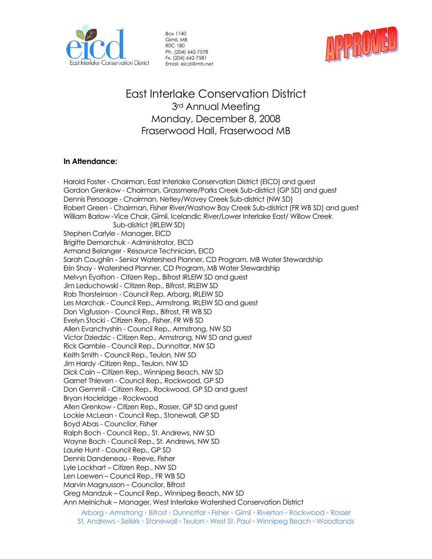

Box 1740 Gimli, MB R0C 1B0 Ph. (204) 642-7578 Fx. (204) 642-7581 Email. eicd@mts.net



East Interlake Conservation District 3rd Annual Meeting Monday, December 8, 2008 Fraserwood Hall, Fraserwood MB

## **In Attendance:**

Harold Foster - Chairman, East Interlake Conservation District (EICD) and guest Gordon Grenkow - Chairman, Grassmere/Parks Creek Sub-district (GP SD) and guest Dennis Persoage - Chairman, Netley/Wavey Creek Sub-district (NW SD) Robert Green - Chairman, Fisher River/Washow Bay Creek Sub-district (FR WB SD) and guest William Barlow -Vice Chair, Gimli, Icelandic River/Lower Interlake East/ Willow Creek Sub-district (IRLEIW SD) Stephen Carlyle - Manager, EICD Brigitte Demarchuk - Administrator, EICD Armand Belanger - Resource Technician, EICD Sarah Coughlin - Senior Watershed Planner, CD Program, MB Water Stewardship Erin Shay - Watershed Planner, CD Program, MB Water Stewardship Melvyn Eyolfson - Citizen Rep., Bifrost IRLEIW SD and guest Jim Leduchowski - Citizen Rep., Bifrost, IRLEIW SD Rob Thorsteinson - Council Rep. Arborg, IRLEIW SD Les Marchak - Council Rep., Armstrong, IRLEIW SD and guest Don Vigfusson - Council Rep., Bifrost, FR WB SD Evelyn Stocki - Citizen Rep., Fisher, FR WB SD Allen Evanchyshin - Council Rep., Armstrong, NW SD Victor Dziedzic - Citizen Rep., Armstrong, NW SD and guest Rick Gamble - Council Rep., Dunnottar, NW SD Keith Smith - Council Rep., Teulon, NW SD Jim Hardy -Citizen Rep., Teulon, NW SD Dick Cain – Citizen Rep., Winnipeg Beach, NW SD Garnet Thieven - Council Rep., Rockwood, GP SD Don Gemmill - Citizen Rep., Rockwood, GP SD and guest Bryan Hockridge - Rockwood Allen Grenkow - Citizen Rep., Rosser, GP SD and guest Lockie McLean - Council Rep., Stonewall, GP SD Boyd Abas - Councilor, Fisher Ralph Boch - Council Rep., St. Andrews, NW SD Wayne Boch - Council Rep., St. Andrews, NW SD Laurie Hunt - Council Rep., GP SD Dennis Dandeneau - Reeve, Fisher Lyle Lockhart – Citizen Rep., NW SD Len Loewen – Council Rep., FR WB SD Marvin Magnusson – Councilor, Bifrost Greg Mandzuk – Council Rep., Winnipeg Beach, NW SD Ann Melnichuk – Manager, West Interlake Watershed Conservation District

Arborg ◦ Armstrong ◦ Bifrost ◦ Dunnottar ◦ Fisher ◦ Gimli ◦ Riverton ◦ Rockwood ◦ Rosser St. Andrews ◦ Selkirk ◦ Stonewall ◦ Teulon ◦ West St. Paul ◦ Winnipeg Beach ◦ Woodlands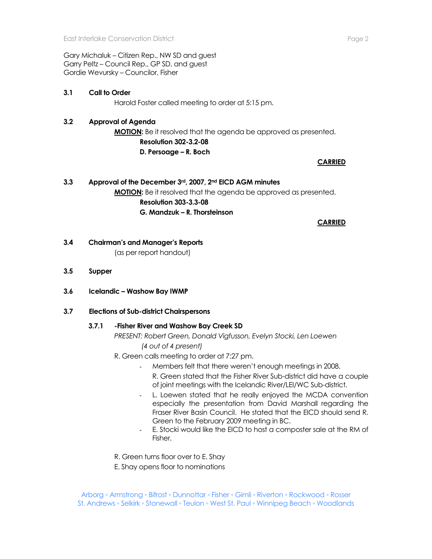Gary Michaluk – Citizen Rep., NW SD and guest Garry Peltz – Council Rep., GP SD, and guest Gordie Wevursky – Councilor, Fisher

# **3.1 Call to Order**

Harold Foster called meeting to order at 5:15 pm.

# **3.2 Approval of Agenda**

**MOTION:** Be it resolved that the agenda be approved as presented. **Resolution 302-3.2-08 D. Persoage – R. Boch** 

## **CARRIED**

# **3.3 Approval of the December 3rd, 2007, 2nd EICD AGM minutes MOTION:** Be it resolved that the agenda be approved as presented. **Resolution 303-3.3-08 G. Mandzuk – R. Thorsteinson**

**CARRIED** 

## **3.4 Chairman's and Manager's Reports**

(as per report handout)

- **3.5 Supper**
- **3.6 Icelandic – Washow Bay IWMP**

### **3.7 Elections of Sub-district Chairspersons**

# **3.7.1 -Fisher River and Washow Bay Creek SD**

*PRESENT: Robert Green, Donald Vigfusson, Evelyn Stocki, Len Loewen (4 out of 4 present)*

- R. Green calls meeting to order at 7:27 pm.
	- Members felt that there weren't enough meetings in 2008.
		- R. Green stated that the Fisher River Sub-district did have a couple of joint meetings with the Icelandic River/LEI/WC Sub-district.
	- L. Loewen stated that he really enjoyed the MCDA convention especially the presentation from David Marshall regarding the Fraser River Basin Council. He stated that the EICD should send R. Green to the February 2009 meeting in BC.
	- E. Stocki would like the EICD to host a composter sale at the RM of Fisher.
- R. Green turns floor over to E. Shay
- E. Shay opens floor to nominations

Arborg ◦ Armstrong ◦ Bifrost ◦ Dunnottar ◦ Fisher ◦ Gimli ◦ Riverton ◦ Rockwood ◦ Rosser St. Andrews ◦ Selkirk ◦ Stonewall ◦ Teulon ◦ West St. Paul ◦ Winnipeg Beach ◦ Woodlands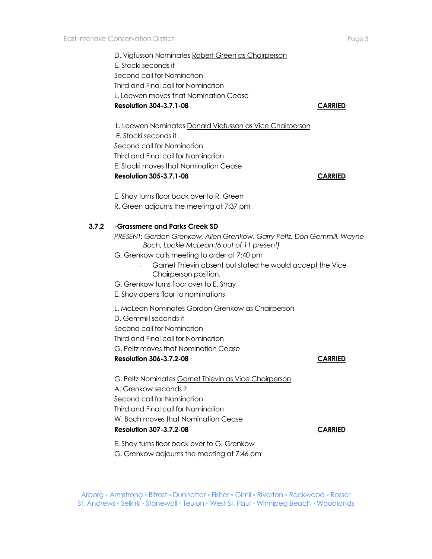D. Vigfusson Nominates Robert Green as Chairperson E. Stocki seconds it Second call for Nomination Third and Final call for Nomination L. Loewen moves that Nomination Cease **Resolution 304-3.7.1-08 CARRIED**

 L. Loewen Nominates Donald Vigfusson as Vice Chairperson E. Stocki seconds it Second call for Nomination Third and Final call for Nomination E. Stocki moves that Nomination Cease **Resolution 305-3.7.1-08 CARRIED** E. Shay turns floor back over to R. Green R. Green adjourns the meeting at 7:37 pm **3.7.2 -Grassmere and Parks Creek SD** *PRESENT: Gordon Grenkow, Allen Grenkow, Garry Peltz, Don Gemmill, Wayne Boch, Lockie McLean (6 out of 11 present)* G. Grenkow calls meeting to order at 7:40 pm - Garnet Thievin absent but stated he would accept the Vice Chairperson position. G. Grenkow turns floor over to E. Shay E. Shay opens floor to nominations L. McLean Nominates Gordon Grenkow as Chairperson D. Gemmill seconds it Second call for Nomination Third and Final call for Nomination G. Peltz moves that Nomination Cease **Resolution 306-3.7.2-08 CARRIED** G. Peltz Nominates Garnet Thievin as Vice Chairperson A. Grenkow seconds it Second call for Nomination Third and Final call for Nomination W. Boch moves that Nomination Cease **Resolution 307-3.7.2-08 CARRIED**

Arborg ◦ Armstrong ◦ Bifrost ◦ Dunnottar ◦ Fisher ◦ Gimli ◦ Riverton ◦ Rockwood ◦ Rosser St. Andrews ◦ Selkirk ◦ Stonewall ◦ Teulon ◦ West St. Paul ◦ Winnipeg Beach ◦ Woodlands

E. Shay turns floor back over to G. Grenkow G. Grenkow adjourns the meeting at 7:46 pm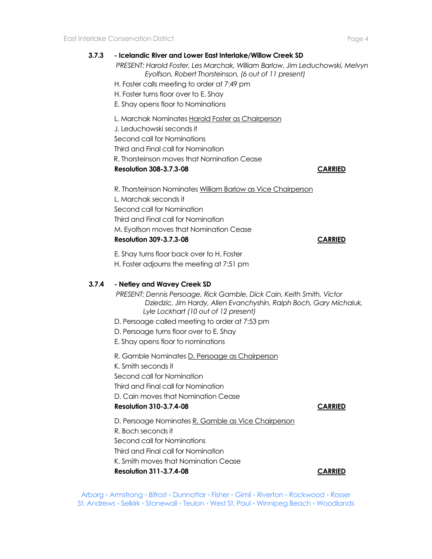# **3.7.3 - Icelandic River and Lower East Interlake/Willow Creek SD**

*PRESENT: Harold Foster, Les Marchak, William Barlow, Jim Leduchowski, Melvyn Eyolfson, Robert Thorsteinson, (6 out of 11 present)*

H. Foster calls meeting to order at 7:49 pm

H. Foster turns floor over to E. Shay

E. Shay opens floor to Nominations

L. Marchak Nominates Harold Foster as Chairperson

J. Leduchowski seconds it

Second call for Nominations

Third and Final call for Nomination

R. Thorsteinson moves that Nomination Cease

### **Resolution 308-3.7.3-08 CARRIED**

R. Thorsteinson Nominates William Barlow as Vice Chairperson L. Marchak seconds it Second call for Nomination Third and Final call for Nomination M. Eyolfson moves that Nomination Cease **Resolution 309-3.7.3-08 CARRIED**

E. Shay turns floor back over to H. Foster H. Foster adjourns the meeting at 7:51 pm

# **3.7.4 - Netley and Wavey Creek SD**

*PRESENT: Dennis Persoage, Rick Gamble, Dick Cain, Keith Smith, Victor Dziedzic, Jim Hardy, Allen Evanchyshin, Ralph Boch, Gary Michaluk, Lyle Lockhart (10 out of 12 present)*

- D. Persoage called meeting to order at 7:53 pm
- D. Persoage turns floor over to E. Shay
- E. Shay opens floor to nominations

R. Gamble Nominates D. Persoage as Chairperson

K. Smith seconds it

Second call for Nomination

Third and Final call for Nomination

D. Cain moves that Nomination Cease

### **Resolution 310-3.7.4-08 CARRIED**

D. Persoage Nominates R. Gamble as Vice Chairperson R. Boch seconds it Second call for Nominations Third and Final call for Nomination K. Smith moves that Nomination Cease **Resolution 311-3.7.4-08 CARRIED**

Arborg ◦ Armstrong ◦ Bifrost ◦ Dunnottar ◦ Fisher ◦ Gimli ◦ Riverton ◦ Rockwood ◦ Rosser St. Andrews ◦ Selkirk ◦ Stonewall ◦ Teulon ◦ West St. Paul ◦ Winnipeg Beach ◦ Woodlands